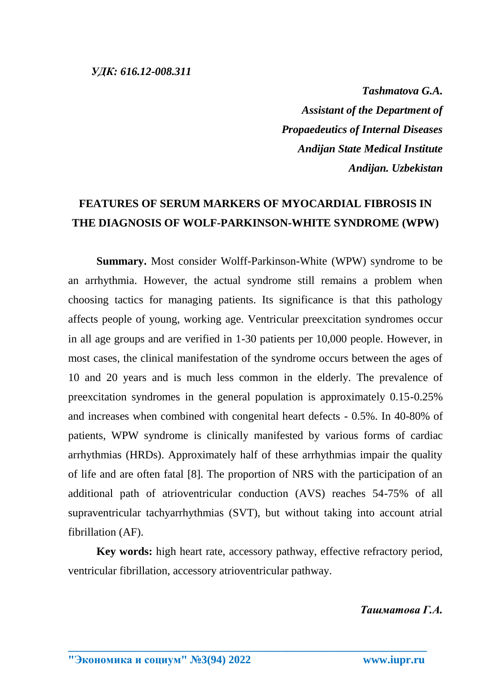*Tashmatova G.A. Assistant of the Department of Propaedeutics of Internal Diseases Andijan State Medical Institute Andijan. Uzbekistan*

## **FEATURES OF SERUM MARKERS OF MYOCARDIAL FIBROSIS IN THE DIAGNOSIS OF WOLF-PARKINSON-WHITE SYNDROME (WPW)**

**Summary.** Most consider Wolff-Parkinson-White (WPW) syndrome to be an arrhythmia. However, the actual syndrome still remains a problem when choosing tactics for managing patients. Its significance is that this pathology affects people of young, working age. Ventricular preexcitation syndromes occur in all age groups and are verified in 1-30 patients per 10,000 people. However, in most cases, the clinical manifestation of the syndrome occurs between the ages of 10 and 20 years and is much less common in the elderly. The prevalence of preexcitation syndromes in the general population is approximately 0.15-0.25% and increases when combined with congenital heart defects - 0.5%. In 40-80% of patients, WPW syndrome is clinically manifested by various forms of cardiac arrhythmias (HRDs). Approximately half of these arrhythmias impair the quality of life and are often fatal [8]. The proportion of NRS with the participation of an additional path of atrioventricular conduction (AVS) reaches 54-75% of all supraventricular tachyarrhythmias (SVT), but without taking into account atrial fibrillation (AF).

**Key words:** high heart rate, accessory pathway, effective refractory period, ventricular fibrillation, accessory atrioventricular pathway.

**\_\_\_\_\_\_\_\_\_\_\_\_\_\_\_\_\_\_\_\_\_\_\_\_\_\_\_\_\_\_\_\_\_\_\_\_\_\_\_\_\_\_\_\_\_\_\_\_\_\_\_\_\_\_\_\_\_\_\_\_\_\_\_\_**

*Ташматова Г.А.*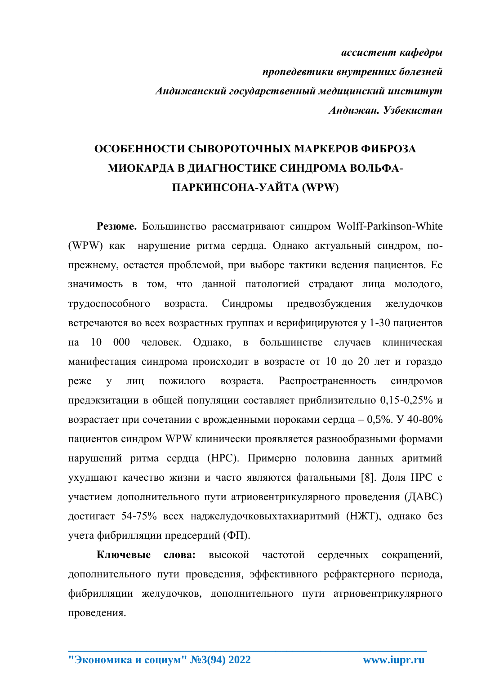*ассистент кафедры пропедевтики внутренних болезней Андижанский государственный медицинский институт Андижан. Узбекистан*

## **ОСОБЕННОСТИ СЫВОРОТОЧНЫХ МАРКЕРОВ ФИБРОЗА МИОКАРДА В ДИАГНОСТИКЕ СИНДРОМА ВОЛЬФА-ПАРКИНСОНА-УАЙТА (WPW)**

**Резюме.** Большинство рассматривают синдром Wolff-Parkinson-White (WPW) как нарушение ритма сердца. Однако актуальный синдром, попрежнему, остается проблемой, при выборе тактики ведения пациентов. Ее значимость в том, что данной патологией страдают лица молодого, трудоспособного возраста. Синдромы предвозбуждения желудочков встречаются во всех возрастных группах и верифицируются у 1-30 пациентов на 10 000 человек. Однако, в большинстве случаев клиническая манифестация синдрома происходит в возрасте от 10 до 20 лет и гораздо реже у лиц пожилого возраста. Распространенность синдромов предэкзитации в общей популяции составляет приблизительно 0,15-0,25% и возрастает при сочетании с врожденными пороками сердца – 0,5%. У 40-80% пациентов синдром WPW клинически проявляется разнообразными формами нарушений ритма сердца (НРС). Примерно половина данных аритмий ухудшают качество жизни и часто являются фатальными [8]. Доля НРС с участием дополнительного пути атриовентрикулярного проведения (ДАВС) достигает 54-75% всех наджелудочковыхтахиаритмий (НЖТ), однако без учета фибрилляции предсердий (ФП).

**Ключевые слова:** высокой частотой сердечных сокращений, дополнительного пути проведения, эффективного рефрактерного периода, фибрилляции желудочков, дополнительного пути атриовентрикулярного проведения.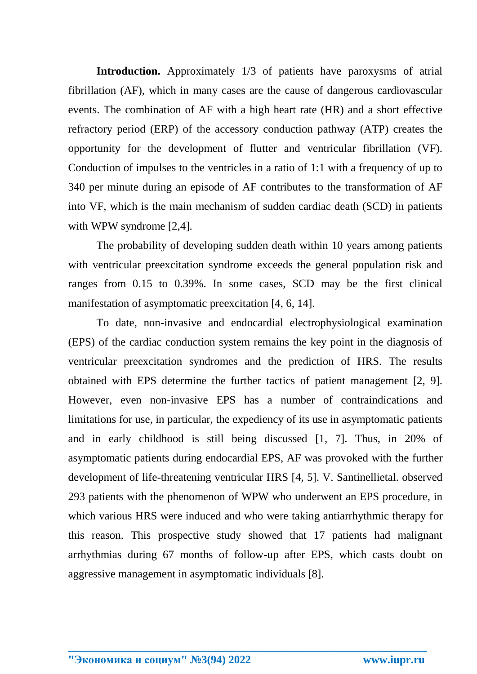**Introduction.** Approximately 1/3 of patients have paroxysms of atrial fibrillation (AF), which in many cases are the cause of dangerous cardiovascular events. The combination of AF with a high heart rate (HR) and a short effective refractory period (ERP) of the accessory conduction pathway (ATP) creates the opportunity for the development of flutter and ventricular fibrillation (VF). Conduction of impulses to the ventricles in a ratio of 1:1 with a frequency of up to 340 per minute during an episode of AF contributes to the transformation of AF into VF, which is the main mechanism of sudden cardiac death (SCD) in patients with WPW syndrome [2,4].

The probability of developing sudden death within 10 years among patients with ventricular preexcitation syndrome exceeds the general population risk and ranges from 0.15 to 0.39%. In some cases, SCD may be the first clinical manifestation of asymptomatic preexcitation [4, 6, 14].

To date, non-invasive and endocardial electrophysiological examination (EPS) of the cardiac conduction system remains the key point in the diagnosis of ventricular preexcitation syndromes and the prediction of HRS. The results obtained with EPS determine the further tactics of patient management [2, 9]. However, even non-invasive EPS has a number of contraindications and limitations for use, in particular, the expediency of its use in asymptomatic patients and in early childhood is still being discussed [1, 7]. Thus, in 20% of asymptomatic patients during endocardial EPS, AF was provoked with the further development of life-threatening ventricular HRS [4, 5]. V. Santinellietal. observed 293 patients with the phenomenon of WPW who underwent an EPS procedure, in which various HRS were induced and who were taking antiarrhythmic therapy for this reason. This prospective study showed that 17 patients had malignant arrhythmias during 67 months of follow-up after EPS, which casts doubt on aggressive management in asymptomatic individuals [8].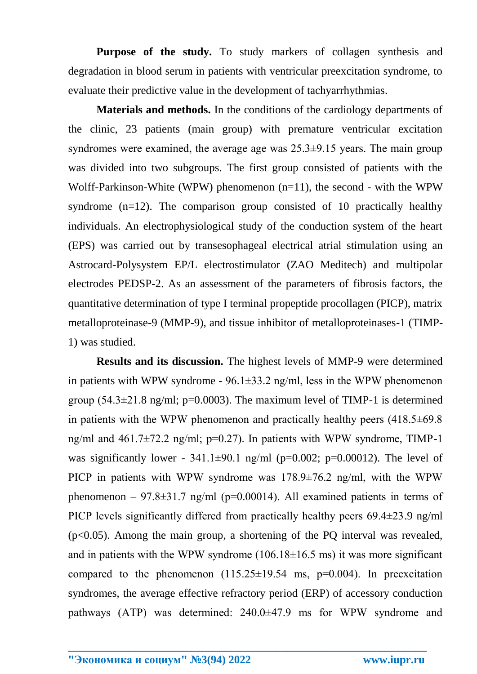**Purpose of the study.** To study markers of collagen synthesis and degradation in blood serum in patients with ventricular preexcitation syndrome, to evaluate their predictive value in the development of tachyarrhythmias.

**Materials and methods.** In the conditions of the cardiology departments of the clinic, 23 patients (main group) with premature ventricular excitation syndromes were examined, the average age was  $25.3\pm9.15$  years. The main group was divided into two subgroups. The first group consisted of patients with the Wolff-Parkinson-White (WPW) phenomenon (n=11), the second - with the WPW syndrome  $(n=12)$ . The comparison group consisted of 10 practically healthy individuals. An electrophysiological study of the conduction system of the heart (EPS) was carried out by transesophageal electrical atrial stimulation using an Astrocard-Polysystem EP/L electrostimulator (ZAO Meditech) and multipolar electrodes PEDSP-2. As an assessment of the parameters of fibrosis factors, the quantitative determination of type I terminal propeptide procollagen (PICP), matrix metalloproteinase-9 (MMP-9), and tissue inhibitor of metalloproteinases-1 (TIMP-1) was studied.

**Results and its discussion.** The highest levels of MMP-9 were determined in patients with WPW syndrome -  $96.1\pm33.2$  ng/ml, less in the WPW phenomenon group  $(54.3 \pm 21.8 \text{ ng/ml}; \text{p=0.0003})$ . The maximum level of TIMP-1 is determined in patients with the WPW phenomenon and practically healthy peers  $(418.5\pm69.8$ ng/ml and  $461.7\pm72.2$  ng/ml; p=0.27). In patients with WPW syndrome, TIMP-1 was significantly lower -  $341.1\pm90.1$  ng/ml (p=0.002; p=0.00012). The level of PICP in patients with WPW syndrome was 178.9±76.2 ng/ml, with the WPW phenomenon – 97.8 $\pm$ 31.7 ng/ml (p=0.00014). All examined patients in terms of PICP levels significantly differed from practically healthy peers 69.4±23.9 ng/ml (p<0.05). Among the main group, a shortening of the PQ interval was revealed, and in patients with the WPW syndrome  $(106.18\pm16.5 \text{ ms})$  it was more significant compared to the phenomenon  $(115.25 \pm 19.54 \text{ ms}, \text{p=0.004})$ . In preexcitation syndromes, the average effective refractory period (ERP) of accessory conduction pathways (ATP) was determined: 240.0±47.9 ms for WPW syndrome and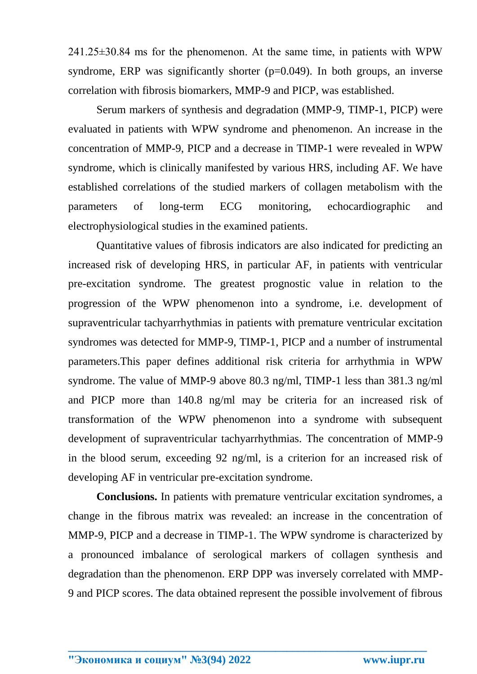$241.25\pm30.84$  ms for the phenomenon. At the same time, in patients with WPW syndrome, ERP was significantly shorter  $(p=0.049)$ . In both groups, an inverse correlation with fibrosis biomarkers, MMP-9 and PICP, was established.

Serum markers of synthesis and degradation (MMP-9, TIMP-1, PICP) were evaluated in patients with WPW syndrome and phenomenon. An increase in the concentration of MMP-9, PICP and a decrease in TIMP-1 were revealed in WPW syndrome, which is clinically manifested by various HRS, including AF. We have established correlations of the studied markers of collagen metabolism with the parameters of long-term ECG monitoring, echocardiographic and electrophysiological studies in the examined patients.

Quantitative values of fibrosis indicators are also indicated for predicting an increased risk of developing HRS, in particular AF, in patients with ventricular pre-excitation syndrome. The greatest prognostic value in relation to the progression of the WPW phenomenon into a syndrome, i.e. development of supraventricular tachyarrhythmias in patients with premature ventricular excitation syndromes was detected for MMP-9, TIMP-1, PICP and a number of instrumental parameters.This paper defines additional risk criteria for arrhythmia in WPW syndrome. The value of MMP-9 above 80.3 ng/ml, TIMP-1 less than 381.3 ng/ml and PICP more than 140.8 ng/ml may be criteria for an increased risk of transformation of the WPW phenomenon into a syndrome with subsequent development of supraventricular tachyarrhythmias. The concentration of MMP-9 in the blood serum, exceeding 92 ng/ml, is a criterion for an increased risk of developing AF in ventricular pre-excitation syndrome.

**Conclusions.** In patients with premature ventricular excitation syndromes, a change in the fibrous matrix was revealed: an increase in the concentration of MMP-9, PICP and a decrease in TIMP-1. The WPW syndrome is characterized by a pronounced imbalance of serological markers of collagen synthesis and degradation than the phenomenon. ERP DPP was inversely correlated with MMP-9 and PICP scores. The data obtained represent the possible involvement of fibrous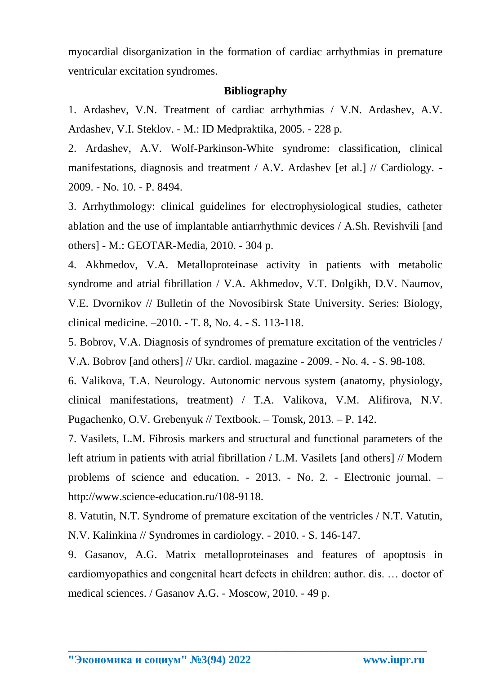myocardial disorganization in the formation of cardiac arrhythmias in premature ventricular excitation syndromes.

## **Bibliography**

1. Ardashev, V.N. Treatment of cardiac arrhythmias / V.N. Ardashev, A.V. Ardashev, V.I. Steklov. - M.: ID Medpraktika, 2005. - 228 p.

2. Ardashev, A.V. Wolf-Parkinson-White syndrome: classification, clinical manifestations, diagnosis and treatment / A.V. Ardashev [et al.] // Cardiology. - 2009. - No. 10. - P. 8494.

3. Arrhythmology: clinical guidelines for electrophysiological studies, catheter ablation and the use of implantable antiarrhythmic devices / A.Sh. Revishvili [and others] - M.: GEOTAR-Media, 2010. - 304 p.

4. Akhmedov, V.A. Metalloproteinase activity in patients with metabolic syndrome and atrial fibrillation / V.A. Akhmedov, V.T. Dolgikh, D.V. Naumov, V.E. Dvornikov // Bulletin of the Novosibirsk State University. Series: Biology, clinical medicine. –2010. - T. 8, No. 4. - S. 113-118.

5. Bobrov, V.A. Diagnosis of syndromes of premature excitation of the ventricles / V.A. Bobrov [and others] // Ukr. cardiol. magazine - 2009. - No. 4. - S. 98-108.

6. Valikova, T.A. Neurology. Autonomic nervous system (anatomy, physiology, clinical manifestations, treatment) / T.A. Valikova, V.M. Alifirova, N.V. Pugachenko, O.V. Grebenyuk // Textbook. – Tomsk, 2013. – P. 142.

7. Vasilets, L.M. Fibrosis markers and structural and functional parameters of the left atrium in patients with atrial fibrillation / L.M. Vasilets [and others] // Modern problems of science and education. - 2013. - No. 2. - Electronic journal. – http://www.science-education.ru/108-9118.

8. Vatutin, N.T. Syndrome of premature excitation of the ventricles / N.T. Vatutin, N.V. Kalinkina // Syndromes in cardiology. - 2010. - S. 146-147.

9. Gasanov, A.G. Matrix metalloproteinases and features of apoptosis in cardiomyopathies and congenital heart defects in children: author. dis. … doctor of medical sciences. / Gasanov A.G. - Moscow, 2010. - 49 p.